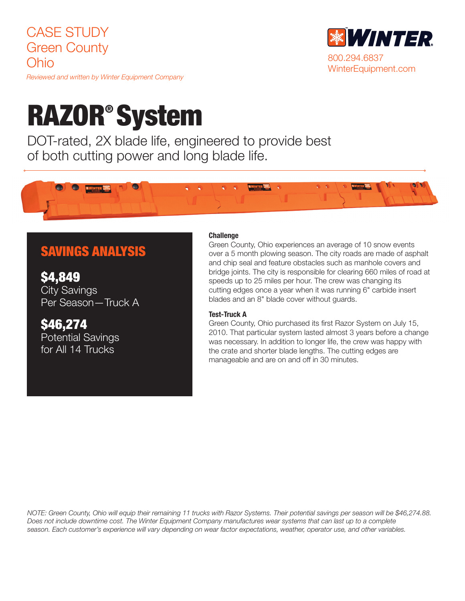Green County Ohio

CASE STUDY



*Reviewed and written by Winter Equipment Company*

# RAZOR® System

DOT-rated, 2X blade life, engineered to provide best of both cutting power and long blade life.



# SAVINGS ANALYSIS

\$4,849 City Savings Per Season—Truck A

\$46,274 Potential Savings for All 14 Trucks

### **Challenge**

Green County, Ohio experiences an average of 10 snow events over a 5 month plowing season. The city roads are made of asphalt and chip seal and feature obstacles such as manhole covers and bridge joints. The city is responsible for clearing 660 miles of road at speeds up to 25 miles per hour. The crew was changing its cutting edges once a year when it was running 6" carbide insert blades and an 8" blade cover without guards.

#### Test-Truck A

Green County, Ohio purchased its first Razor System on July 15, 2010. That particular system lasted almost 3 years before a change was necessary. In addition to longer life, the crew was happy with the crate and shorter blade lengths. The cutting edges are manageable and are on and off in 30 minutes.

*NOTE: Green County, Ohio will equip their remaining 11 trucks with Razor Systems. Their potential savings per season will be \$46,274.88. Does not include downtime cost. The Winter Equipment Company manufactures wear systems that can last up to a complete season. Each customer's experience will vary depending on wear factor expectations, weather, operator use, and other variables.*